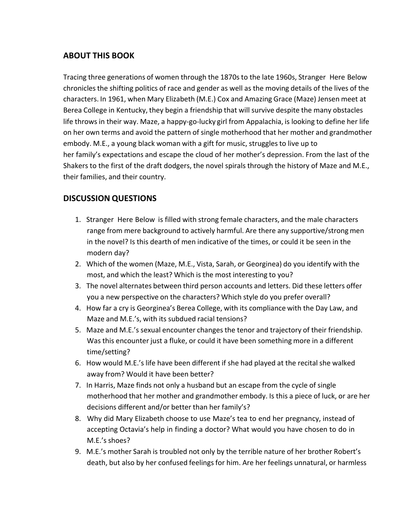## **ABOUT THIS BOOK**

Tracing three generations of women through the 1870s to the late 1960s, Stranger Here Below chroniclesthe shifting politics of race and gender as well as the moving details of the lives of the characters. In 1961, when Mary Elizabeth (M.E.) Cox and Amazing Grace (Maze) Jensen meet at Berea College in Kentucky, they begin a friendship that will survive despite the many obstacles life throws in their way. Maze, a happy-go-lucky girl from Appalachia, is looking to define her life on her own terms and avoid the pattern of single motherhood that her mother and grandmother embody. M.E., a young black woman with a gift for music, strugglesto live up to her family's expectations and escape the cloud of her mother's depression. From the last of the Shakers to the first of the draft dodgers, the novel spirals through the history of Maze and M.E., their families, and their country.

# **DISCUSSION QUESTIONS**

- 1. Stranger Here Below is filled with strong female characters, and the male characters range from mere background to actively harmful. Are there any supportive/strongmen in the novel? Is this dearth of men indicative of the times, or could it be seen in the modern day?
- 2. Which of the women (Maze, M.E., Vista, Sarah, or Georginea) do you identify with the most, and which the least? Which is the most interesting to you?
- 3. The novel alternates between third person accounts and letters. Did these letters offer you a new perspective on the characters? Which style do you prefer overall?
- 4. How far a cry is Georginea's Berea College, with its compliance with the Day Law, and Maze and M.E.'s, with its subdued racial tensions?
- 5. Maze and M.E.'s sexual encounter changes the tenor and trajectory of their friendship. Was this encounter just a fluke, or could it have been something more in a different time/setting?
- 6. How would M.E.'s life have been different if she had played at the recital she walked away from? Would it have been better?
- 7. In Harris, Maze finds not only a husband but an escape from the cycle of single motherhood that her mother and grandmother embody. Is this a piece of luck, or are her decisions different and/or better than her family's?
- 8. Why did Mary Elizabeth choose to use Maze's tea to end her pregnancy, instead of accepting Octavia's help in finding a doctor? What would you have chosen to do in M.E.'s shoes?
- 9. M.E.'s mother Sarah is troubled not only by the terrible nature of her brother Robert's death, but also by her confused feelings for him. Are her feelings unnatural, or harmless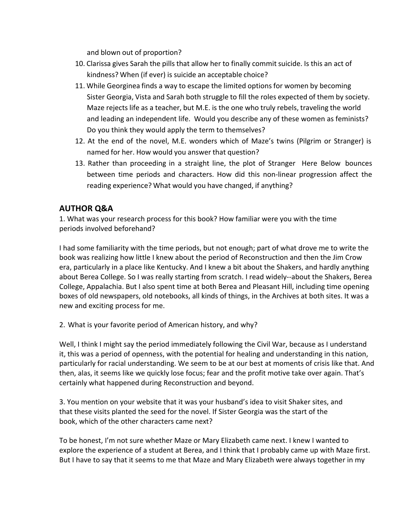and blown out of proportion?

- 10. Clarissa gives Sarah the pills that allow her to finally commit suicide. Is this an act of kindness? When (if ever) is suicide an acceptable choice?
- 11. While Georginea finds a way to escape the limited options for women by becoming Sister Georgia, Vista and Sarah both struggle to fill the roles expected of them by society. Maze rejects life as a teacher, but M.E. is the one who truly rebels, traveling the world and leading an independent life. Would you describe any of these women as feminists? Do you think they would apply the term to themselves?
- 12. At the end of the novel, M.E. wonders which of Maze's twins (Pilgrim or Stranger) is named for her. How would you answer that question?
- 13. Rather than proceeding in a straight line, the plot of Stranger Here Below bounces between time periods and characters. How did this non-linear progression affect the reading experience? What would you have changed, if anything?

### **AUTHOR Q&A**

1. What was your research process for this book? How familiar were you with the time periods involved beforehand?

I had some familiarity with the time periods, but not enough; part of what drove me to write the book was realizing how little I knew about the period of Reconstruction and then the Jim Crow era, particularly in a place like Kentucky. And I knew a bit about the Shakers, and hardly anything about Berea College. So I was really starting from scratch. I read widely--about the Shakers, Berea College, Appalachia. But I also spent time at both Berea and Pleasant Hill, including time opening boxes of old newspapers, old notebooks, all kinds of things, in the Archives at both sites. It was a new and exciting process for me.

2. What is your favorite period of American history, and why?

Well, I think I might say the period immediately following the Civil War, because as I understand it, this was a period of openness, with the potential for healing and understanding in this nation, particularly for racial understanding. We seem to be at our best at moments of crisis like that. And then, alas, it seems like we quickly lose focus; fear and the profit motive take over again. That's certainly what happened during Reconstruction and beyond.

3. You mention on your website that it was your husband's idea to visit Shaker sites, and that these visits planted the seed for the novel. If Sister Georgia was the start of the book, which of the other characters came next?

To be honest, I'm not sure whether Maze or Mary Elizabeth came next. I knew I wanted to explore the experience of a student at Berea, and I think that I probably came up with Maze first. But I have to say that it seems to me that Maze and Mary Elizabeth were always together in my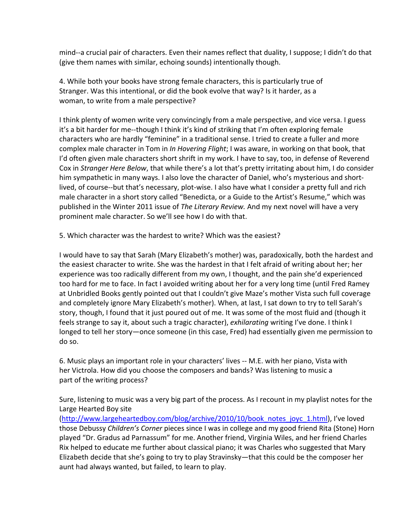mind--a crucial pair of characters. Even their names reflect that duality, I suppose; I didn't do that (give them names with similar, echoing sounds) intentionally though.

4. While both your books have strong female characters, this is particularly true of Stranger. Was this intentional, or did the book evolve that way? Is it harder, as a woman, to write from a male perspective?

I think plenty of women write very convincingly from a male perspective, and vice versa. I guess it's a bit harder for me--though I think it's kind of striking that I'm often exploring female characters who are hardly "feminine" in a traditional sense. I tried to create a fuller and more complex male character in Tom in *In Hovering Flight*; I was aware, in working on that book, that I'd often given male characters short shrift in my work. I have to say, too, in defense of Reverend Cox in *Stranger Here Below*, that while there's a lot that's pretty irritating about him, I do consider him sympathetic in many ways. I also love the character of Daniel, who's mysterious and shortlived, of course--but that's necessary, plot-wise. I also have what I consider a pretty full and rich male character in a short story called "Benedicta, or a Guide to the Artist's Resume," which was published in the Winter 2011 issue of *The Literary Review.* And my next novel will have a very prominent male character. So we'll see how I do with that.

5. Which character was the hardest to write? Which was the easiest?

I would have to say that Sarah (Mary Elizabeth's mother) was, paradoxically, both the hardest and the easiest character to write. She was the hardest in that I felt afraid of writing about her; her experience was too radically different from my own, I thought, and the pain she'd experienced too hard for me to face. In fact I avoided writing about her for a very long time (until Fred Ramey at Unbridled Books gently pointed out that I couldn't give Maze's mother Vista such full coverage and completely ignore Mary Elizabeth's mother). When, at last, I sat down to try to tell Sarah's story, though, I found that it just poured out of me. It was some of the most fluid and (though it feels strange to say it, about such a tragic character), *exhilarating* writing I've done. I think I longed to tell her story—once someone (in this case, Fred) had essentially given me permission to do so.

6. Music plays an important role in your characters' lives -- M.E. with her piano, Vista with her Victrola. How did you choose the composers and bands? Was listening to music a part of the writing process?

Sure, listening to music was a very big part of the process. As I recount in my playlist notes for the Large Hearted Boy site

(http://www.largeheartedboy.com/blog/archive/2010/10/book\_notes\_joyc\_1.html), I've loved those Debussy *Children's Corner* pieces since I was in college and my good friend Rita (Stone) Horn played "Dr. Gradus ad Parnassum" for me. Another friend, Virginia Wiles, and her friend Charles Rix helped to educate me further about classical piano; it was Charles who suggested that Mary Elizabeth decide that she's going to try to play Stravinsky—that this could be the composer her aunt had always wanted, but failed, to learn to play.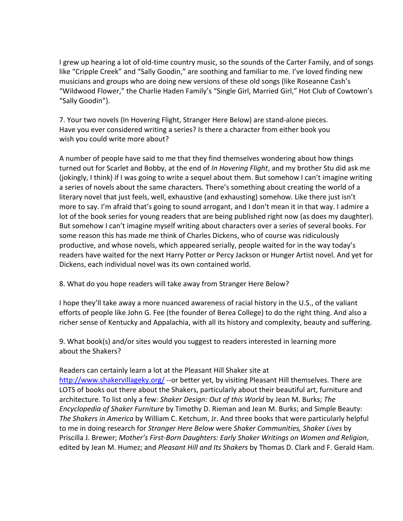I grew up hearing a lot of old-time country music, so the sounds of the Carter Family, and of songs like "Cripple Creek" and "Sally Goodin," are soothing and familiar to me. I've loved finding new musicians and groups who are doing new versions of these old songs (like Roseanne Cash's "Wildwood Flower," the Charlie Haden Family's "Single Girl, Married Girl," Hot Club of Cowtown's "Sally Goodin").

7. Your two novels (In Hovering Flight, Stranger Here Below) are stand-alone pieces. Have you ever considered writing a series? Is there a character from either book you wish you could write more about?

A number of people have said to me that they find themselves wondering about how things turned out for Scarlet and Bobby, at the end of *In Hovering Flight*, and my brother Stu did ask me (jokingly, I think) if I was going to write a sequel about them. But somehow I can't imagine writing a series of novels about the same characters. There's something about creating the world of a literary novel that just feels, well, exhaustive (and exhausting) somehow. Like there just isn't more to say. I'm afraid that's going to sound arrogant, and I don't mean it in that way. I admire a lot of the book series for young readers that are being published right now (as does my daughter). But somehow I can't imagine myself writing about characters over a series of several books. For some reason this has made me think of Charles Dickens, who of course was ridiculously productive, and whose novels, which appeared serially, people waited for in the way today's readers have waited for the next Harry Potter or Percy Jackson or Hunger Artist novel. And yet for Dickens, each individual novel was its own contained world.

8. What do you hope readers will take away from Stranger Here Below?

I hope they'll take away a more nuanced awareness of racial history in the U.S., of the valiant efforts of people like John G. Fee (the founder of Berea College) to do the right thing. And also a richer sense of Kentucky and Appalachia, with all its history and complexity, beauty and suffering.

9. What book(s) and/or sites would you suggest to readers interested in learning more about the Shakers?

#### Readers can certainly learn a lot at the Pleasant Hill Shaker site at

http://www.shakervillageky.org/ --or better yet, by visiting Pleasant Hill themselves. There are LOTS of books out there about the Shakers, particularly about their beautiful art, furniture and architecture. To list only a few: *Shaker Design: Out of this World* by Jean M. Burks; *The Encyclopedia of Shaker Furniture* by Timothy D. Rieman and Jean M. Burks; and Simple Beauty: *The Shakers in America* by William C. Ketchum, Jr. And three books that were particularly helpful to me in doing research for *Stranger Here Below* were *Shaker Communities, Shaker Lives* by Priscilla J. Brewer; *Mother's First-Born Daughters: Early Shaker Writings on Women and Religion*, edited by Jean M. Humez; and *Pleasant Hill and Its Shakers* by Thomas D. Clark and F. Gerald Ham.